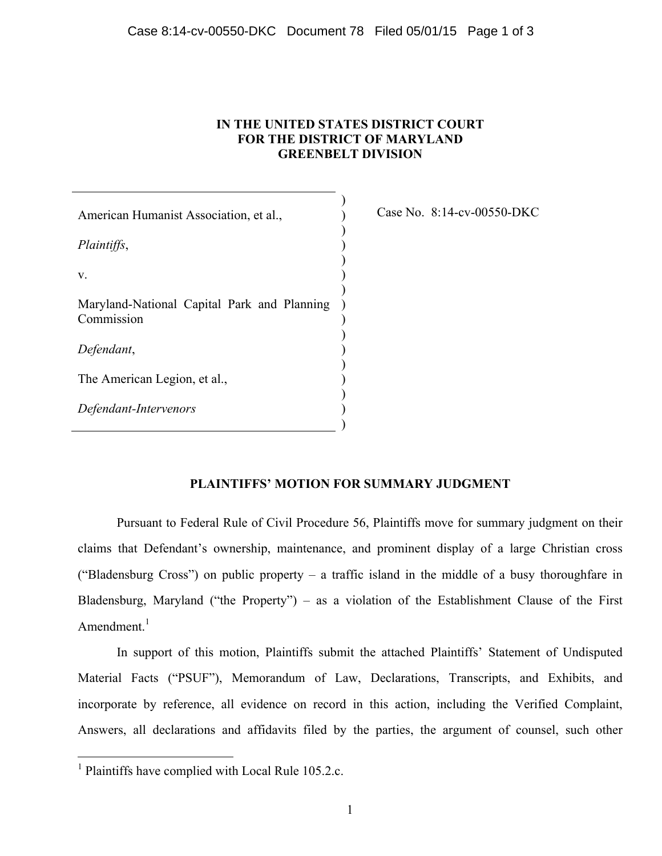## **IN THE UNITED STATES DISTRICT COURT FOR THE DISTRICT OF MARYLAND GREENBELT DIVISION**

) ) ) ) ) ) )

) ) ) ) ) ) ) )

American Humanist Association, et al., *Plaintiffs*, v. Maryland-National Capital Park and Planning ) Commission *Defendant*, The American Legion, et al., *Defendant-Intervenors* 

Case No. 8:14-cv-00550-DKC

## **PLAINTIFFS' MOTION FOR SUMMARY JUDGMENT**

Pursuant to Federal Rule of Civil Procedure 56, Plaintiffs move for summary judgment on their claims that Defendant's ownership, maintenance, and prominent display of a large Christian cross ("Bladensburg Cross") on public property – a traffic island in the middle of a busy thoroughfare in Bladensburg, Maryland ("the Property") – as a violation of the Establishment Clause of the First Amendment. $<sup>1</sup>$ </sup>

In support of this motion, Plaintiffs submit the attached Plaintiffs' Statement of Undisputed Material Facts ("PSUF"), Memorandum of Law, Declarations, Transcripts, and Exhibits, and incorporate by reference, all evidence on record in this action, including the Verified Complaint, Answers, all declarations and affidavits filed by the parties, the argument of counsel, such other

 <sup>1</sup> Plaintiffs have complied with Local Rule 105.2.c.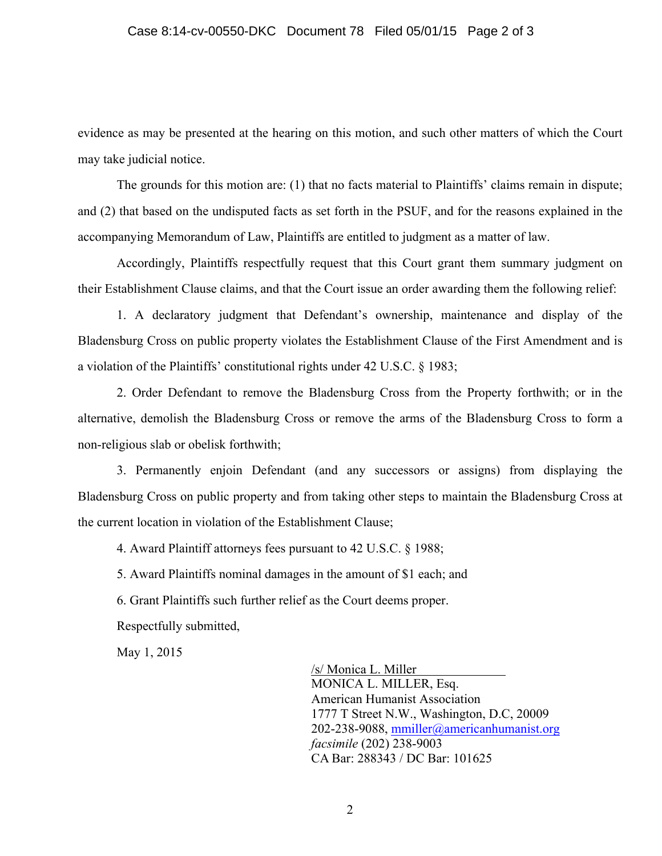## Case 8:14-cv-00550-DKC Document 78 Filed 05/01/15 Page 2 of 3

evidence as may be presented at the hearing on this motion, and such other matters of which the Court may take judicial notice.

The grounds for this motion are: (1) that no facts material to Plaintiffs' claims remain in dispute; and (2) that based on the undisputed facts as set forth in the PSUF, and for the reasons explained in the accompanying Memorandum of Law, Plaintiffs are entitled to judgment as a matter of law.

Accordingly, Plaintiffs respectfully request that this Court grant them summary judgment on their Establishment Clause claims, and that the Court issue an order awarding them the following relief:

1. A declaratory judgment that Defendant's ownership, maintenance and display of the Bladensburg Cross on public property violates the Establishment Clause of the First Amendment and is a violation of the Plaintiffs' constitutional rights under 42 U.S.C. § 1983;

2. Order Defendant to remove the Bladensburg Cross from the Property forthwith; or in the alternative, demolish the Bladensburg Cross or remove the arms of the Bladensburg Cross to form a non-religious slab or obelisk forthwith;

3. Permanently enjoin Defendant (and any successors or assigns) from displaying the Bladensburg Cross on public property and from taking other steps to maintain the Bladensburg Cross at the current location in violation of the Establishment Clause;

4. Award Plaintiff attorneys fees pursuant to 42 U.S.C. § 1988;

5. Award Plaintiffs nominal damages in the amount of \$1 each; and

6. Grant Plaintiffs such further relief as the Court deems proper.

Respectfully submitted,

May 1, 2015

/s/ Monica L. Miller MONICA L. MILLER, Esq. American Humanist Association 1777 T Street N.W., Washington, D.C, 20009 202-238-9088, mmiller@americanhumanist.org *facsimile* (202) 238-9003 CA Bar: 288343 / DC Bar: 101625